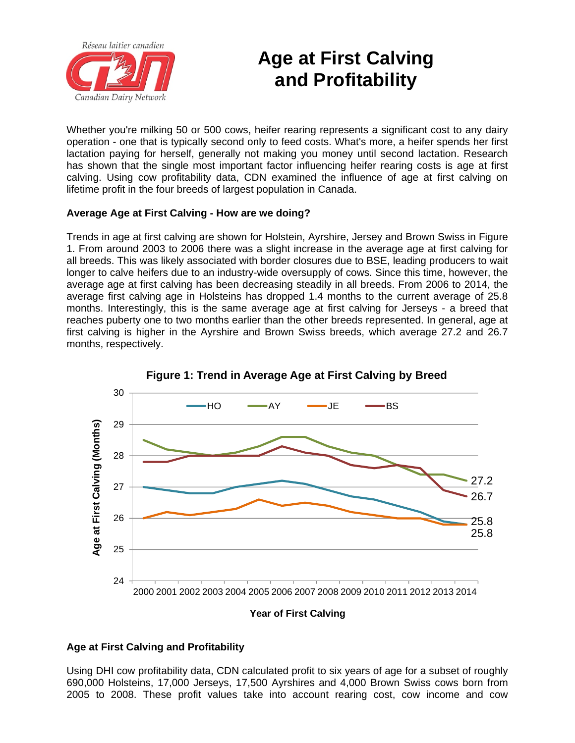

## **Age at First Calving and Profitability**

Whether you're milking 50 or 500 cows, heifer rearing represents a significant cost to any dairy operation - one that is typically second only to feed costs. What's more, a heifer spends her first lactation paying for herself, generally not making you money until second lactation. Research has shown that the single most important factor influencing heifer rearing costs is age at first calving. Using cow profitability data, CDN examined the influence of age at first calving on lifetime profit in the four breeds of largest population in Canada.

## **Average Age at First Calving - How are we doing?**

Trends in age at first calving are shown for Holstein, Ayrshire, Jersey and Brown Swiss in Figure 1. From around 2003 to 2006 there was a slight increase in the average age at first calving for all breeds. This was likely associated with border closures due to BSE, leading producers to wait longer to calve heifers due to an industry-wide oversupply of cows. Since this time, however, the average age at first calving has been decreasing steadily in all breeds. From 2006 to 2014, the average first calving age in Holsteins has dropped 1.4 months to the current average of 25.8 months. Interestingly, this is the same average age at first calving for Jerseys - a breed that reaches puberty one to two months earlier than the other breeds represented. In general, age at first calving is higher in the Ayrshire and Brown Swiss breeds, which average 27.2 and 26.7 months, respectively.



**Figure 1: Trend in Average Age at First Calving by Breed**

## **Age at First Calving and Profitability**

Using DHI cow profitability data, CDN calculated profit to six years of age for a subset of roughly 690,000 Holsteins, 17,000 Jerseys, 17,500 Ayrshires and 4,000 Brown Swiss cows born from 2005 to 2008. These profit values take into account rearing cost, cow income and cow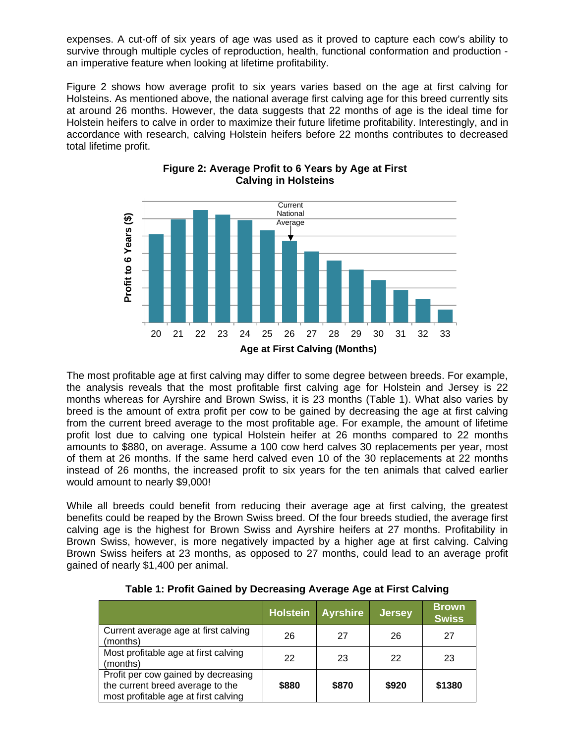expenses. A cut-off of six years of age was used as it proved to capture each cow's ability to survive through multiple cycles of reproduction, health, functional conformation and production an imperative feature when looking at lifetime profitability.

Figure 2 shows how average profit to six years varies based on the age at first calving for Holsteins. As mentioned above, the national average first calving age for this breed currently sits at around 26 months. However, the data suggests that 22 months of age is the ideal time for Holstein heifers to calve in order to maximize their future lifetime profitability. Interestingly, and in accordance with research, calving Holstein heifers before 22 months contributes to decreased total lifetime profit.



## **Figure 2: Average Profit to 6 Years by Age at First Calving in Holsteins**

The most profitable age at first calving may differ to some degree between breeds. For example, the analysis reveals that the most profitable first calving age for Holstein and Jersey is 22 months whereas for Ayrshire and Brown Swiss, it is 23 months (Table 1). What also varies by breed is the amount of extra profit per cow to be gained by decreasing the age at first calving from the current breed average to the most profitable age. For example, the amount of lifetime profit lost due to calving one typical Holstein heifer at 26 months compared to 22 months amounts to \$880, on average. Assume a 100 cow herd calves 30 replacements per year, most of them at 26 months. If the same herd calved even 10 of the 30 replacements at 22 months instead of 26 months, the increased profit to six years for the ten animals that calved earlier would amount to nearly \$9,000!

While all breeds could benefit from reducing their average age at first calving, the greatest benefits could be reaped by the Brown Swiss breed. Of the four breeds studied, the average first calving age is the highest for Brown Swiss and Ayrshire heifers at 27 months. Profitability in Brown Swiss, however, is more negatively impacted by a higher age at first calving. Calving Brown Swiss heifers at 23 months, as opposed to 27 months, could lead to an average profit gained of nearly \$1,400 per animal.

|                                                                                                                 | <b>Holstein</b> | <b>Ayrshire</b> | <b>Jersey</b> | 'Brown,<br><b>Swiss</b> |
|-----------------------------------------------------------------------------------------------------------------|-----------------|-----------------|---------------|-------------------------|
| Current average age at first calving<br>(months)                                                                | 26              | 27              | 26            | 27                      |
| Most profitable age at first calving<br>(months)                                                                | 22              | 23              | 22            | 23                      |
| Profit per cow gained by decreasing<br>the current breed average to the<br>most profitable age at first calving | \$880           | \$870           | \$920         | \$1380                  |

**Table 1: Profit Gained by Decreasing Average Age at First Calving**